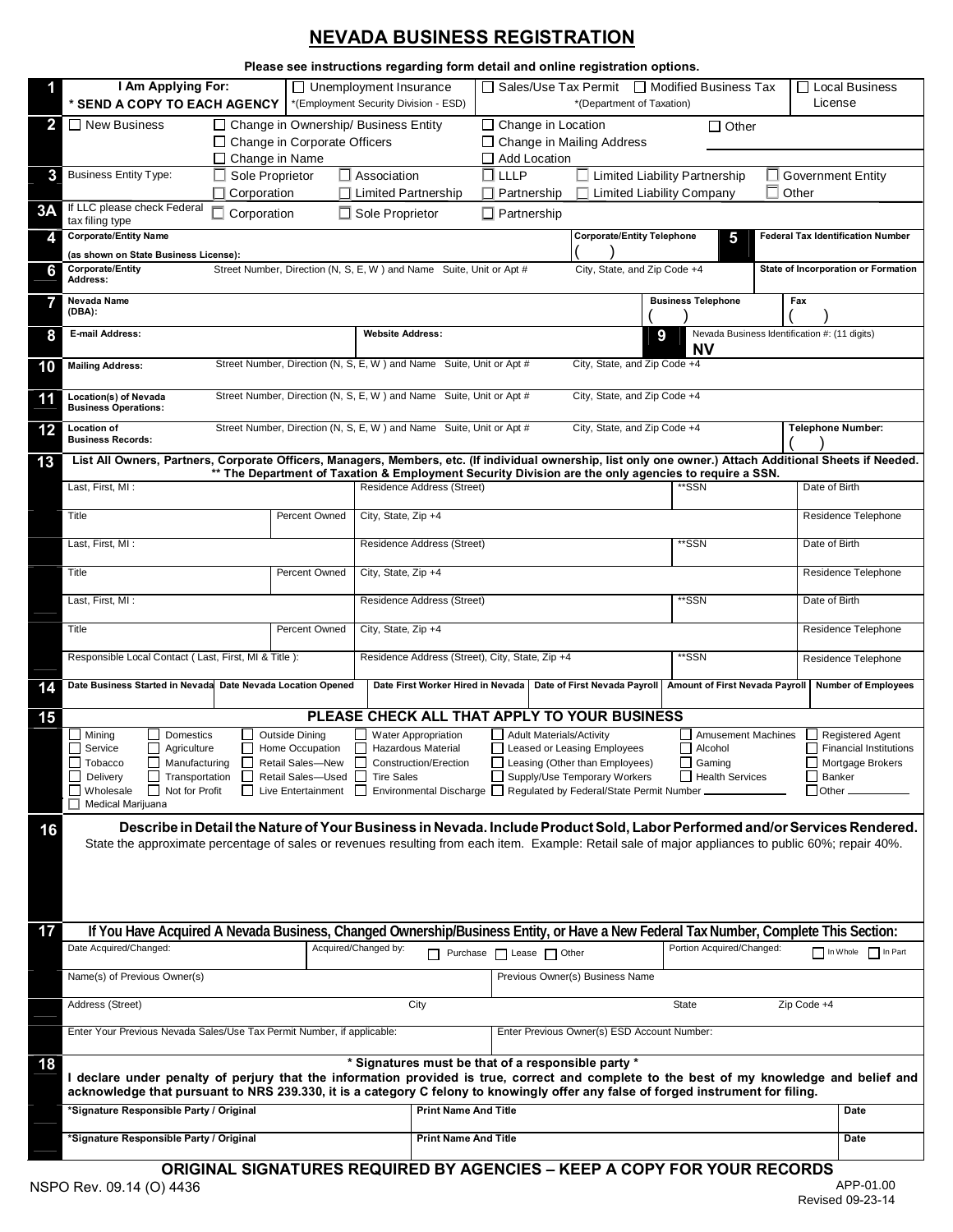# **NEVADA BUSINESS REGISTRATION**

|              | Please see instructions regarding form detail and online registration options.                                                                                                                                                                                                       |             |                                                                                                      |                        |                                                                                                                                                                                                                                                                              |                                                         |  |                                             |                                                                                                                             |                                |  |                           |                            |
|--------------|--------------------------------------------------------------------------------------------------------------------------------------------------------------------------------------------------------------------------------------------------------------------------------------|-------------|------------------------------------------------------------------------------------------------------|------------------------|------------------------------------------------------------------------------------------------------------------------------------------------------------------------------------------------------------------------------------------------------------------------------|---------------------------------------------------------|--|---------------------------------------------|-----------------------------------------------------------------------------------------------------------------------------|--------------------------------|--|---------------------------|----------------------------|
|              | I Am Applying For:<br>* SEND A COPY TO EACH AGENCY                                                                                                                                                                                                                                   |             |                                                                                                      |                        | □ Sales/Use Tax Permit<br>$\Box$ Unemployment Insurance<br>*(Employment Security Division - ESD)<br>*(Department of Taxation)                                                                                                                                                |                                                         |  |                                             | □ Modified Business Tax                                                                                                     |                                |  | Local Business<br>License |                            |
| $\mathbf{2}$ | $\Box$ New Business<br>$\Box$ Change in Ownership/ Business Entity<br>$\Box$ Change in Location<br>$\Box$ Other<br>$\Box$ Change in Corporate Officers<br>□ Change in Mailing Address                                                                                                |             |                                                                                                      |                        |                                                                                                                                                                                                                                                                              |                                                         |  |                                             |                                                                                                                             |                                |  |                           |                            |
|              |                                                                                                                                                                                                                                                                                      |             | $\Box$ Change in Name                                                                                |                        |                                                                                                                                                                                                                                                                              | Add Location                                            |  |                                             |                                                                                                                             |                                |  |                           |                            |
| 3            | Sole Proprietor<br><b>Business Entity Type:</b><br>$\Box$ Corporation                                                                                                                                                                                                                |             |                                                                                                      | $\Box$ Association     | ∏ LLLP<br>$\Box$ Limited Liability Partnership<br>$\Box$ Limited Partnership<br>$\Box$ Limited Liability Company<br>Partnership                                                                                                                                              |                                                         |  |                                             | $\Box$ Government Entity<br>Other                                                                                           |                                |  |                           |                            |
| 3A           | If LLC please check Federal<br>tax filing type                                                                                                                                                                                                                                       | Corporation |                                                                                                      | $\Box$ Sole Proprietor |                                                                                                                                                                                                                                                                              | $\Box$ Partnership                                      |  |                                             |                                                                                                                             |                                |  |                           |                            |
| 4            | <b>Corporate/Entity Name</b><br><b>Corporate/Entity Telephone</b><br><b>Federal Tax Identification Number</b><br>5                                                                                                                                                                   |             |                                                                                                      |                        |                                                                                                                                                                                                                                                                              |                                                         |  |                                             |                                                                                                                             |                                |  |                           |                            |
| 61           | (as shown on State Business License):<br>Street Number, Direction (N, S, E, W) and Name Suite, Unit or Apt #<br>Corporate/Entity<br>City, State, and Zip Code +4<br>State of Incorporation or Formation<br>Address:                                                                  |             |                                                                                                      |                        |                                                                                                                                                                                                                                                                              |                                                         |  |                                             |                                                                                                                             |                                |  |                           |                            |
|              | Nevada Name<br><b>Business Telephone</b><br>Fax<br>(DBA):                                                                                                                                                                                                                            |             |                                                                                                      |                        |                                                                                                                                                                                                                                                                              |                                                         |  |                                             |                                                                                                                             |                                |  |                           |                            |
| 8            | E-mail Address:<br><b>Website Address:</b>                                                                                                                                                                                                                                           |             |                                                                                                      |                        | Nevada Business Identification #: (11 digits)<br>9<br><b>NV</b>                                                                                                                                                                                                              |                                                         |  |                                             |                                                                                                                             |                                |  |                           |                            |
| 10           | Street Number, Direction (N, S, E, W) and Name Suite, Unit or Apt #<br>City, State, and Zip Code +4<br><b>Mailing Address:</b>                                                                                                                                                       |             |                                                                                                      |                        |                                                                                                                                                                                                                                                                              |                                                         |  |                                             |                                                                                                                             |                                |  |                           |                            |
| 11           | Street Number, Direction (N, S, E, W) and Name Suite, Unit or Apt #<br>City, State, and Zip Code +4<br>Location(s) of Nevada<br><b>Business Operations:</b>                                                                                                                          |             |                                                                                                      |                        |                                                                                                                                                                                                                                                                              |                                                         |  |                                             |                                                                                                                             |                                |  |                           |                            |
| 12           | <b>Location of</b><br><b>Business Records:</b>                                                                                                                                                                                                                                       |             | Street Number, Direction (N, S, E, W) and Name Suite, Unit or Apt #                                  |                        |                                                                                                                                                                                                                                                                              |                                                         |  | City, State, and Zip Code +4                |                                                                                                                             |                                |  |                           | Telephone Number:          |
| 13           | List All Owners, Partners, Corporate Officers, Managers, Members, etc. (If individual ownership, list only one owner.) Attach Additional Sheets if Needed.                                                                                                                           |             | ** The Department of Taxation & Employment Security Division are the only agencies to require a SSN. |                        |                                                                                                                                                                                                                                                                              |                                                         |  |                                             |                                                                                                                             |                                |  |                           |                            |
|              | Last, First, MI:                                                                                                                                                                                                                                                                     |             |                                                                                                      |                        | Residence Address (Street)                                                                                                                                                                                                                                                   |                                                         |  |                                             |                                                                                                                             | ʻSSN                           |  | Date of Birth             |                            |
|              | Title                                                                                                                                                                                                                                                                                |             | Percent Owned                                                                                        | City, State, Zip +4    |                                                                                                                                                                                                                                                                              |                                                         |  |                                             |                                                                                                                             |                                |  |                           | Residence Telephone        |
|              | Last, First, MI:                                                                                                                                                                                                                                                                     |             |                                                                                                      |                        | Residence Address (Street)                                                                                                                                                                                                                                                   |                                                         |  |                                             |                                                                                                                             | *SSN                           |  | Date of Birth             |                            |
|              | Title                                                                                                                                                                                                                                                                                |             | Percent Owned                                                                                        | City, State, Zip +4    |                                                                                                                                                                                                                                                                              |                                                         |  |                                             |                                                                                                                             |                                |  |                           | Residence Telephone        |
|              | Last, First, MI:                                                                                                                                                                                                                                                                     |             |                                                                                                      |                        | Residence Address (Street)                                                                                                                                                                                                                                                   |                                                         |  |                                             |                                                                                                                             | *SSN<br>Date of Birth          |  |                           |                            |
|              | Title                                                                                                                                                                                                                                                                                |             | Percent Owned                                                                                        | City, State, Zip +4    |                                                                                                                                                                                                                                                                              |                                                         |  |                                             |                                                                                                                             |                                |  |                           | Residence Telephone        |
|              | Responsible Local Contact (Last, First, MI & Title):                                                                                                                                                                                                                                 |             |                                                                                                      |                        | Residence Address (Street), City, State, Zip +4                                                                                                                                                                                                                              |                                                         |  |                                             |                                                                                                                             | **SSN                          |  |                           | Residence Telephone        |
| 14           | Date Business Started in Nevada Date Nevada Location Opened                                                                                                                                                                                                                          |             |                                                                                                      |                        | Date First Worker Hired in Nevada   Date of First Nevada Payroll                                                                                                                                                                                                             |                                                         |  |                                             |                                                                                                                             | Amount of First Nevada Payroll |  |                           | <b>Number of Employees</b> |
| 15           | Mining<br>Domestics                                                                                                                                                                                                                                                                  |             |                                                                                                      |                        | PLEASE CHECK ALL THAT APPLY TO YOUR BUSINESS<br><b>Water Appropriation</b>                                                                                                                                                                                                   |                                                         |  |                                             |                                                                                                                             | <b>Amusement Machines</b>      |  |                           | Registered Agent           |
|              | <b>Outside Dining</b><br>Agriculture<br><b>□</b> Service<br>ப<br>⊔<br>Home Occupation<br>$\Box$<br>Manufacturing<br>Tobacco<br><b>Retail Sales-New</b><br>Transportation<br>Delivery<br>Retail Sales-Used<br>$\perp$<br>Not for Profit<br>Live Entertainment<br>Wholesale<br>$\perp$ |             |                                                                                                      | $\mathsf{L}$           | Adult Materials/Activity<br><b>Hazardous Material</b><br>□ Leased or Leasing Employees<br>Leasing (Other than Employees)<br>Construction/Erection<br>Supply/Use Temporary Workers<br><b>Tire Sales</b><br>Environmental Discharge □ Regulated by Federal/State Permit Number |                                                         |  |                                             | Alcohol<br>$\Box$ Financial Institutions<br>Mortgage Brokers<br>$\Box$ Gaming<br>Health Services<br>$\Box$ Banker<br>Other. |                                |  |                           |                            |
|              | Medical Marijuana                                                                                                                                                                                                                                                                    |             |                                                                                                      |                        |                                                                                                                                                                                                                                                                              |                                                         |  |                                             |                                                                                                                             |                                |  |                           |                            |
| 16           | Describe in Detail the Nature of Your Business in Nevada. Include Product Sold, Labor Performed and/or Services Rendered.<br>State the approximate percentage of sales or revenues resulting from each item. Example: Retail sale of major appliances to public 60%; repair 40%.     |             |                                                                                                      |                        |                                                                                                                                                                                                                                                                              |                                                         |  |                                             |                                                                                                                             |                                |  |                           |                            |
| 17           |                                                                                                                                                                                                                                                                                      |             |                                                                                                      |                        |                                                                                                                                                                                                                                                                              |                                                         |  |                                             |                                                                                                                             |                                |  |                           |                            |
|              | If You Have Acquired A Nevada Business, Changed Ownership/Business Entity, or Have a New Federal Tax Number, Complete This Section:<br>Date Acquired/Changed:                                                                                                                        |             |                                                                                                      | Acquired/Changed by:   |                                                                                                                                                                                                                                                                              |                                                         |  |                                             |                                                                                                                             | Portion Acquired/Changed:      |  |                           | In Whole   In Part         |
|              | Name(s) of Previous Owner(s)                                                                                                                                                                                                                                                         |             |                                                                                                      |                        |                                                                                                                                                                                                                                                                              | Purchase Lease Other<br>Previous Owner(s) Business Name |  |                                             |                                                                                                                             |                                |  |                           |                            |
|              | Address (Street)                                                                                                                                                                                                                                                                     |             |                                                                                                      |                        | City                                                                                                                                                                                                                                                                         |                                                         |  | State                                       |                                                                                                                             |                                |  | Zip Code +4               |                            |
|              | Enter Your Previous Nevada Sales/Use Tax Permit Number, if applicable:                                                                                                                                                                                                               |             |                                                                                                      |                        |                                                                                                                                                                                                                                                                              |                                                         |  | Enter Previous Owner(s) ESD Account Number: |                                                                                                                             |                                |  |                           |                            |
| 18           | I declare under penalty of perjury that the information provided is true, correct and complete to the best of my knowledge and belief and<br>acknowledge that pursuant to NRS 239.330, it is a category C felony to knowingly offer any false of forged instrument for filing.       |             |                                                                                                      |                        | * Signatures must be that of a responsible party *                                                                                                                                                                                                                           |                                                         |  |                                             |                                                                                                                             |                                |  |                           |                            |
|              | *Signature Responsible Party / Original                                                                                                                                                                                                                                              |             |                                                                                                      |                        | <b>Print Name And Title</b>                                                                                                                                                                                                                                                  |                                                         |  |                                             |                                                                                                                             |                                |  |                           | Date                       |
|              | *Signature Responsible Party / Original                                                                                                                                                                                                                                              |             |                                                                                                      |                        | <b>Print Name And Title</b>                                                                                                                                                                                                                                                  |                                                         |  |                                             |                                                                                                                             |                                |  |                           | Date                       |
|              |                                                                                                                                                                                                                                                                                      |             | <b>ORIGINAL SIGNATURES REQUIRED BY AGENCIES - KEEP A COPY FOR YOUR RECORDS</b>                       |                        |                                                                                                                                                                                                                                                                              |                                                         |  |                                             |                                                                                                                             |                                |  |                           |                            |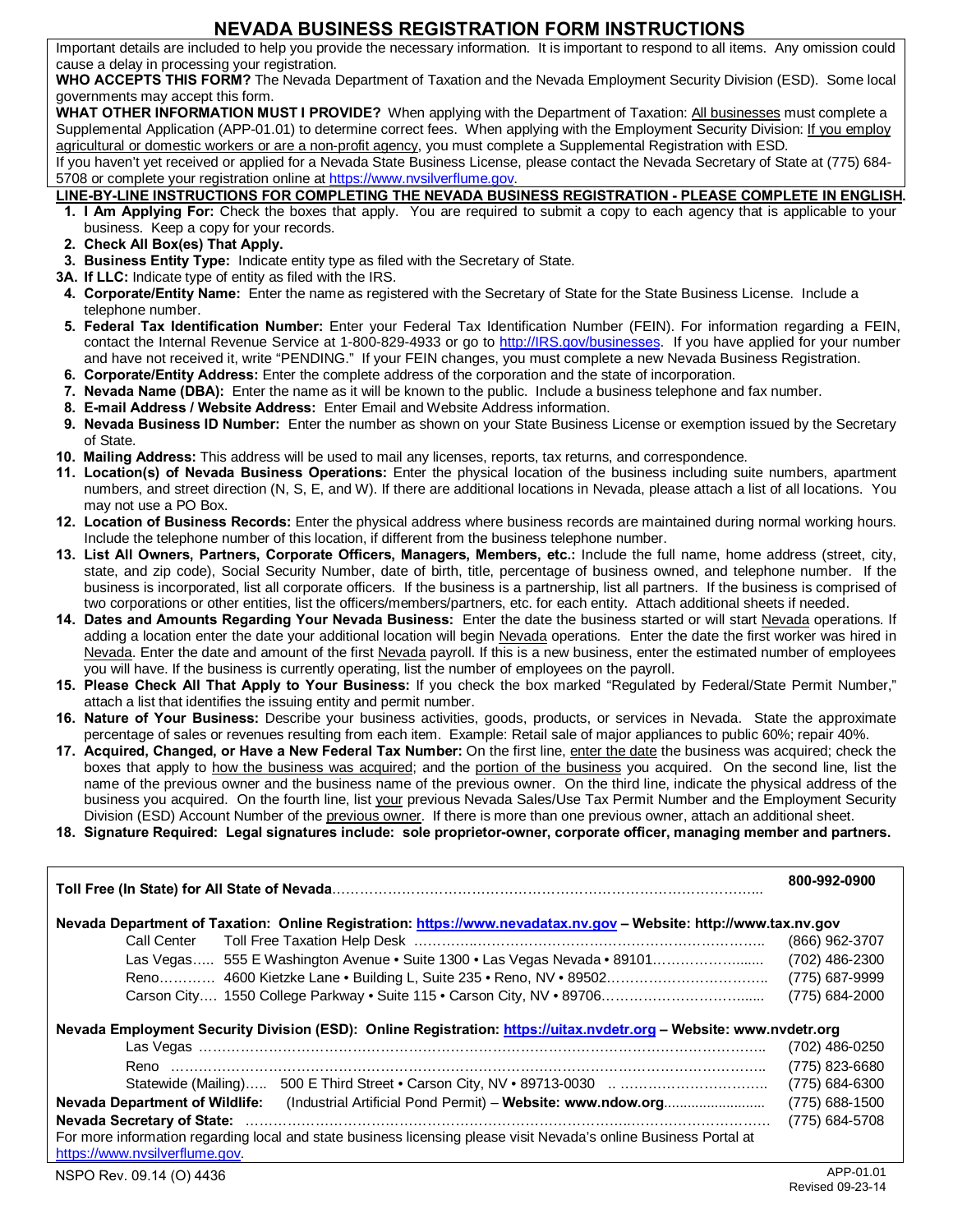### **NEVADA BUSINESS REGISTRATION FORM INSTRUCTIONS**

Important details are included to help you provide the necessary information. It is important to respond to all items. Any omission could cause a delay in processing your registration.

**WHO ACCEPTS THIS FORM?** The Nevada Department of Taxation and the Nevada Employment Security Division (ESD). Some local governments may accept this form.

**WHAT OTHER INFORMATION MUST I PROVIDE?** When applying with the Department of Taxation: All businesses must complete a Supplemental Application (APP-01.01) to determine correct fees. When applying with the Employment Security Division: If you employ agricultural or domestic workers or are a non-profit agency, you must complete a Supplemental Registration with ESD.

If you haven't yet received or applied for a Nevada State Business License, please contact the Nevada Secretary of State at (775) 684- 5708 or complete your registration online at https://www.nvsilverflume.gov.

#### **LINE-BY-LINE INSTRUCTIONS FOR COMPLETING THE NEVADA BUSINESS REGISTRATION - PLEASE COMPLETE IN ENGLISH.**

- **1. I Am Applying For:** Check the boxes that apply. You are required to submit a copy to each agency that is applicable to your business. Keep a copy for your records.
- **2. Check All Box(es) That Apply.**
- **3. Business Entity Type:** Indicate entity type as filed with the Secretary of State.
- **3A. If LLC:** Indicate type of entity as filed with the IRS.
- **4. Corporate/Entity Name:** Enter the name as registered with the Secretary of State for the State Business License. Include a telephone number.
- **5. Federal Tax Identification Number:** Enter your Federal Tax Identification Number (FEIN). For information regarding a FEIN, contact the Internal Revenue Service at 1-800-829-4933 or go to http://IRS.gov/businesses. If you have applied for your number and have not received it, write "PENDING." If your FEIN changes, you must complete a new Nevada Business Registration.
- **6. Corporate/Entity Address:** Enter the complete address of the corporation and the state of incorporation.
- **7. Nevada Name (DBA):** Enter the name as it will be known to the public. Include a business telephone and fax number.
- **8. E-mail Address / Website Address:** Enter Email and Website Address information.
- **9. Nevada Business ID Number:** Enter the number as shown on your State Business License or exemption issued by the Secretary of State.
- **10. Mailing Address:** This address will be used to mail any licenses, reports, tax returns, and correspondence.
- **11. Location(s) of Nevada Business Operations:** Enter the physical location of the business including suite numbers, apartment numbers, and street direction (N, S, E, and W). If there are additional locations in Nevada, please attach a list of all locations. You may not use a PO Box.
- **12. Location of Business Records:** Enter the physical address where business records are maintained during normal working hours. Include the telephone number of this location, if different from the business telephone number.
- **13. List All Owners, Partners, Corporate Officers, Managers, Members, etc.:** Include the full name, home address (street, city, state, and zip code), Social Security Number, date of birth, title, percentage of business owned, and telephone number. If the business is incorporated, list all corporate officers. If the business is a partnership, list all partners. If the business is comprised of two corporations or other entities, list the officers/members/partners, etc. for each entity. Attach additional sheets if needed.
- **14. Dates and Amounts Regarding Your Nevada Business:** Enter the date the business started or will start Nevada operations. If adding a location enter the date your additional location will begin Nevada operations. Enter the date the first worker was hired in Nevada. Enter the date and amount of the first Nevada payroll. If this is a new business, enter the estimated number of employees you will have. If the business is currently operating, list the number of employees on the payroll.
- **15. Please Check All That Apply to Your Business:** If you check the box marked "Regulated by Federal/State Permit Number," attach a list that identifies the issuing entity and permit number.
- **16. Nature of Your Business:** Describe your business activities, goods, products, or services in Nevada. State the approximate percentage of sales or revenues resulting from each item. Example: Retail sale of major appliances to public 60%; repair 40%.
- **17. Acquired, Changed, or Have a New Federal Tax Number:** On the first line, enter the date the business was acquired; check the boxes that apply to how the business was acquired; and the portion of the business you acquired. On the second line, list the name of the previous owner and the business name of the previous owner. On the third line, indicate the physical address of the business you acquired. On the fourth line, list your previous Nevada Sales/Use Tax Permit Number and the Employment Security Division (ESD) Account Number of the previous owner. If there is more than one previous owner, attach an additional sheet.
- **18. Signature Required: Legal signatures include: sole proprietor-owner, corporate officer, managing member and partners.**

| Nevada Department of Taxation: Online Registration: https://www.nevadatax.nv.gov - Website: http://www.tax.nv.gov                                   |                |  |  |  |  |  |
|-----------------------------------------------------------------------------------------------------------------------------------------------------|----------------|--|--|--|--|--|
| Call Center                                                                                                                                         | (866) 962-3707 |  |  |  |  |  |
| Las Vegas 555 E Washington Avenue • Suite 1300 • Las Vegas Nevada • 89101                                                                           | (702) 486-2300 |  |  |  |  |  |
| Reno 4600 Kietzke Lane • Building L, Suite 235 • Reno, NV • 89502                                                                                   | (775) 687-9999 |  |  |  |  |  |
| Carson City 1550 College Parkway • Suite 115 • Carson City, NV • 89706                                                                              | (775) 684-2000 |  |  |  |  |  |
| Nevada Employment Security Division (ESD): Online Registration: https://uitax.nvdetr.org - Website: www.nvdetr.org                                  |                |  |  |  |  |  |
| Reno                                                                                                                                                | (775) 823-6680 |  |  |  |  |  |
|                                                                                                                                                     | (775) 684-6300 |  |  |  |  |  |
| <b>Nevada Department of Wildlife:</b>                                                                                                               |                |  |  |  |  |  |
|                                                                                                                                                     |                |  |  |  |  |  |
| For more information regarding local and state business licensing please visit Nevada's online Business Portal at<br>https://www.nvsilverflume.gov. |                |  |  |  |  |  |
| NSPO Rev. 09.14 (O) 4436                                                                                                                            | APP-01.01      |  |  |  |  |  |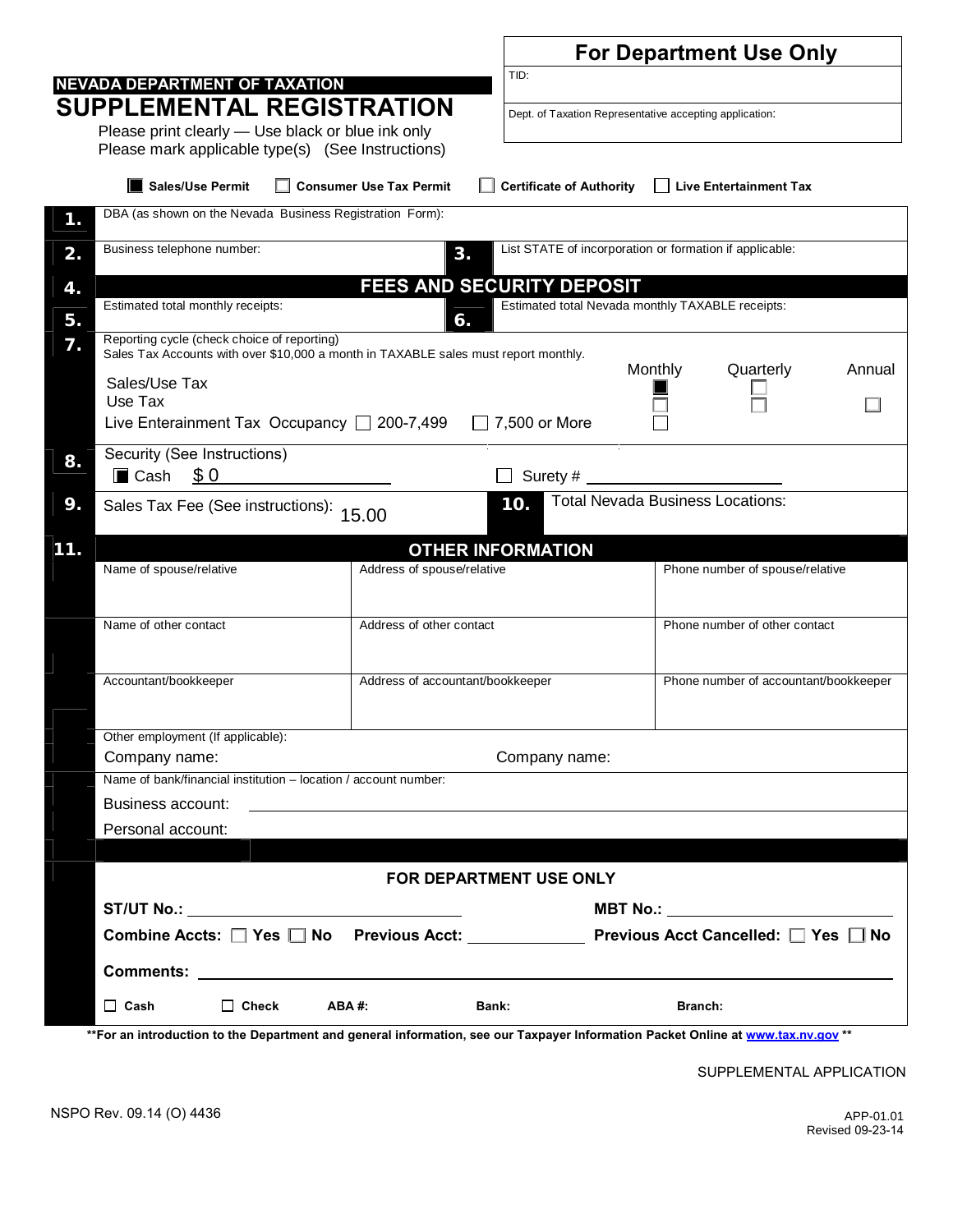|                                                                                                             |                                                                                                                                            |                                  | <b>For Department Use Only</b>                              |                                                                                            |  |  |  |  |  |
|-------------------------------------------------------------------------------------------------------------|--------------------------------------------------------------------------------------------------------------------------------------------|----------------------------------|-------------------------------------------------------------|--------------------------------------------------------------------------------------------|--|--|--|--|--|
| TID:<br>NEVADA DEPARTMENT OF TAXATION                                                                       |                                                                                                                                            |                                  |                                                             |                                                                                            |  |  |  |  |  |
|                                                                                                             | <b>SUPPLEMENTAL REGISTRATION</b>                                                                                                           |                                  | Dept. of Taxation Representative accepting application:     |                                                                                            |  |  |  |  |  |
|                                                                                                             | Please print clearly - Use black or blue ink only                                                                                          |                                  |                                                             |                                                                                            |  |  |  |  |  |
|                                                                                                             | Please mark applicable type(s) (See Instructions)                                                                                          |                                  |                                                             |                                                                                            |  |  |  |  |  |
|                                                                                                             | <b>Sales/Use Permit</b>                                                                                                                    | <b>Consumer Use Tax Permit</b>   | <b>Certificate of Authority</b>                             | <b>Live Entertainment Tax</b>                                                              |  |  |  |  |  |
| 1.                                                                                                          | DBA (as shown on the Nevada Business Registration Form):                                                                                   |                                  |                                                             |                                                                                            |  |  |  |  |  |
| 2.                                                                                                          | Business telephone number:                                                                                                                 | 3.                               | List STATE of incorporation or formation if applicable:     |                                                                                            |  |  |  |  |  |
| 4.                                                                                                          | FEES AND SECURITY DEPOSIT                                                                                                                  |                                  |                                                             |                                                                                            |  |  |  |  |  |
|                                                                                                             | Estimated total Nevada monthly TAXABLE receipts:<br>Estimated total monthly receipts:<br>6.<br>Reporting cycle (check choice of reporting) |                                  |                                                             |                                                                                            |  |  |  |  |  |
| 5.<br>7.                                                                                                    |                                                                                                                                            |                                  |                                                             |                                                                                            |  |  |  |  |  |
| Sales Tax Accounts with over \$10,000 a month in TAXABLE sales must report monthly.<br>Monthly<br>Quarterly |                                                                                                                                            |                                  |                                                             |                                                                                            |  |  |  |  |  |
|                                                                                                             | Sales/Use Tax                                                                                                                              |                                  |                                                             |                                                                                            |  |  |  |  |  |
|                                                                                                             | Use Tax<br>Live Enterainment Tax Occupancy $\Box$ 200-7,499<br>$\Box$ 7,500 or More                                                        |                                  |                                                             |                                                                                            |  |  |  |  |  |
|                                                                                                             | Security (See Instructions)                                                                                                                |                                  |                                                             |                                                                                            |  |  |  |  |  |
| 8.                                                                                                          | Cash \$0                                                                                                                                   |                                  |                                                             |                                                                                            |  |  |  |  |  |
| 9.                                                                                                          | <b>Total Nevada Business Locations:</b><br>10.<br>Sales Tax Fee (See instructions): 15.00                                                  |                                  |                                                             |                                                                                            |  |  |  |  |  |
|                                                                                                             |                                                                                                                                            |                                  |                                                             |                                                                                            |  |  |  |  |  |
| 11.                                                                                                         | Name of spouse/relative                                                                                                                    | Address of spouse/relative       | <b>OTHER INFORMATION</b><br>Phone number of spouse/relative |                                                                                            |  |  |  |  |  |
|                                                                                                             |                                                                                                                                            |                                  |                                                             |                                                                                            |  |  |  |  |  |
|                                                                                                             | Name of other contact                                                                                                                      | Address of other contact         |                                                             | Phone number of other contact                                                              |  |  |  |  |  |
|                                                                                                             |                                                                                                                                            |                                  |                                                             |                                                                                            |  |  |  |  |  |
|                                                                                                             | Accountant/bookkeeper                                                                                                                      | Address of accountant/bookkeeper |                                                             |                                                                                            |  |  |  |  |  |
|                                                                                                             |                                                                                                                                            |                                  |                                                             | Phone number of accountant/bookkeeper                                                      |  |  |  |  |  |
|                                                                                                             |                                                                                                                                            |                                  |                                                             |                                                                                            |  |  |  |  |  |
|                                                                                                             | Other employment (If applicable):<br>Company name:<br>Company name:                                                                        |                                  |                                                             |                                                                                            |  |  |  |  |  |
|                                                                                                             | Name of bank/financial institution - location / account number:                                                                            |                                  |                                                             |                                                                                            |  |  |  |  |  |
|                                                                                                             | Business account:                                                                                                                          |                                  |                                                             |                                                                                            |  |  |  |  |  |
|                                                                                                             | Personal account:                                                                                                                          |                                  |                                                             |                                                                                            |  |  |  |  |  |
|                                                                                                             |                                                                                                                                            |                                  |                                                             |                                                                                            |  |  |  |  |  |
|                                                                                                             |                                                                                                                                            | FOR DEPARTMENT USE ONLY          |                                                             |                                                                                            |  |  |  |  |  |
|                                                                                                             | <b>ST/UT No.: _______________________________</b>                                                                                          |                                  | <b>MBT No.: _______________________________</b>             |                                                                                            |  |  |  |  |  |
|                                                                                                             |                                                                                                                                            |                                  |                                                             | Combine Accts: □ Yes □ No Previous Acct: _____________ Previous Acct Cancelled: □ Yes □ No |  |  |  |  |  |
|                                                                                                             | Comments: example and the comments:                                                                                                        |                                  |                                                             |                                                                                            |  |  |  |  |  |
|                                                                                                             | $\Box$ Cash<br>$\Box$ Check                                                                                                                | ABA #:                           | Bank:                                                       | <b>Branch:</b>                                                                             |  |  |  |  |  |
|                                                                                                             | duction to the Denominent and noncuel information, ass, cur Townsus Information Decisit Onlin                                              |                                  |                                                             |                                                                                            |  |  |  |  |  |

**\*\*For an introduction to the Department and general information, see our Taxpayer Information Packet Online at www.tax.nv.gov \*\*** 

SUPPLEMENTAL APPLICATION